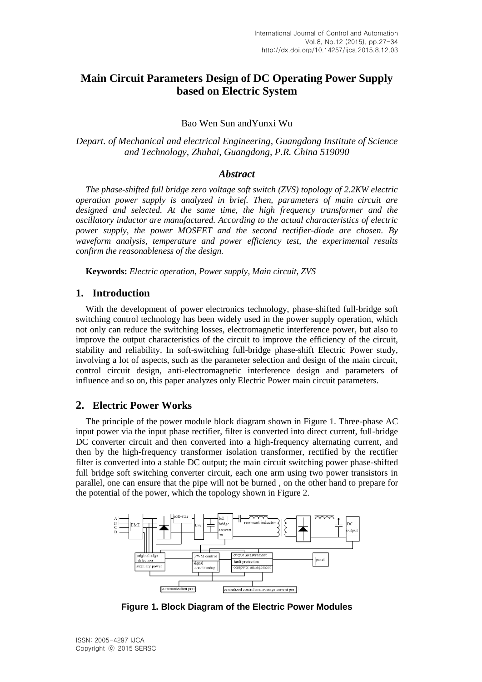# **Main Circuit Parameters Design of DC Operating Power Supply based on Electric System**

### Bao Wen Sun andYunxi Wu

*Depart. of Mechanical and electrical Engineering, Guangdong Institute of Science and Technology, Zhuhai, Guangdong, P.R. China 519090*

### *Abstract*

*The phase-shifted full bridge zero voltage soft switch (ZVS) topology of 2.2KW electric operation power supply is analyzed in brief. Then, parameters of main circuit are designed and selected. At the same time, the high frequency transformer and the oscillatory inductor are manufactured. According to the actual characteristics of electric power supply, the power MOSFET and the second rectifier-diode are chosen. By waveform analysis, temperature and power efficiency test, the experimental results confirm the reasonableness of the design.*

**Keywords:** *Electric operation, Power supply, Main circuit, ZVS*

### **1. Introduction**

With the development of power electronics technology, phase-shifted full-bridge soft switching control technology has been widely used in the power supply operation, which not only can reduce the switching losses, electromagnetic interference power, but also to improve the output characteristics of the circuit to improve the efficiency of the circuit, stability and reliability. In soft-switching full-bridge phase-shift Electric Power study, involving a lot of aspects, such as the parameter selection and design of the main circuit, control circuit design, anti-electromagnetic interference design and parameters of influence and so on, this paper analyzes only Electric Power main circuit parameters.

## **2. Electric Power Works**

The principle of the power module block diagram shown in Figure 1. Three-phase AC input power via the input phase rectifier, filter is converted into direct current, full-bridge DC converter circuit and then converted into a high-frequency alternating current, and then by the high-frequency transformer isolation transformer, rectified by the rectifier filter is converted into a stable DC output; the main circuit switching power phase-shifted full bridge soft switching converter circuit, each one arm using two power transistors in parallel, one can ensure that the pipe will not be burned , on the other hand to prepare for the potential of the power, which the topology shown in Figure 2.



**Figure 1. Block Diagram of the Electric Power Modules**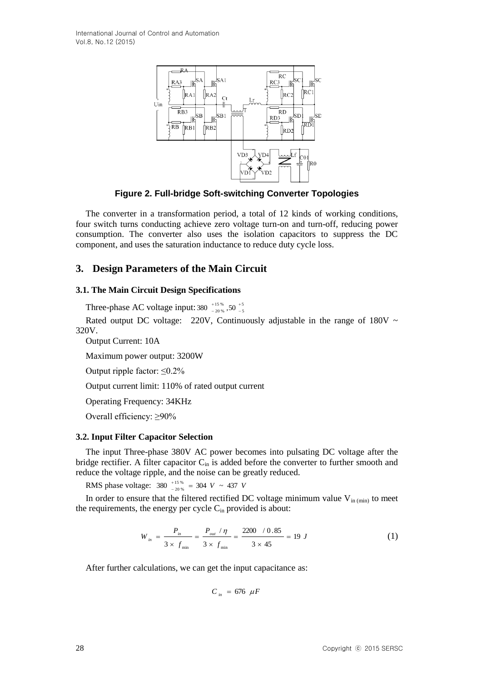

**Figure 2. Full-bridge Soft-switching Converter Topologies**

The converter in a transformation period, a total of 12 kinds of working conditions, four switch turns conducting achieve zero voltage turn-on and turn-off, reducing power consumption. The converter also uses the isolation capacitors to suppress the DC component, and uses the saturation inductance to reduce duty cycle loss.

# **3. Design Parameters of the Main Circuit**

### **3.1. The Main Circuit Design Specifications**

Three-phase AC voltage input: 380  $^{+15}_{-20\%}$ , 50  $^{+5}_{-8}$ 5 15 % 380  $^{+15\,\%}_{-20\,\%}$  ,50  $^{+15\,\%}_{-10\,\%}$  $\overline{+}$ i,

Rated output DC voltage: 220V, Continuously adjustable in the range of 180V  $\sim$ 320V.

Output Current: 10A

Maximum power output: 3200W

Output ripple factor:  $\leq 0.2\%$ 

Output current limit: 110% of rated output current

Operating Frequency: 34KHz

Overall efficiency: ≥90%

### **3.2. Input Filter Capacitor Selection**

The input Three-phase 380V AC power becomes into pulsating DC voltage after the bridge rectifier. A filter capacitor  $C_{in}$  is added before the converter to further smooth and reduce the voltage ripple, and the noise can be greatly reduced.

RMS phase voltage:  $380^{+15\%}_{-20\%} = 304$  *V* ~ 437 *V*  $^{+15}_{-20}$  % =  $\overline{a}$ 

In order to ensure that the filtered rectified DC voltage minimum value  $V_{in (min)}$  to meet the requirements, the energy per cycle  $C_{in}$  provided is about:

$$
W_{in} = \frac{P_{in}}{3 \times f_{min}} = \frac{P_{out} / \eta}{3 \times f_{min}} = \frac{2200 / 0.85}{3 \times 45} = 19 J
$$
 (1)

After further calculations, we can get the input capacitance as:

$$
C_{in} = 676 \ \mu F
$$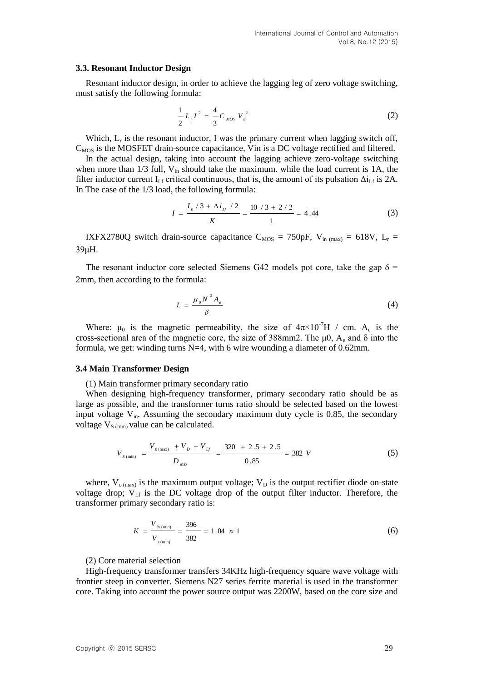#### **3.3. Resonant Inductor Design**

Resonant inductor design, in order to achieve the lagging leg of zero voltage switching, must satisfy the following formula:

$$
\frac{1}{2}L_{r}I^{2} = \frac{4}{3}C_{MOS}V_{in}^{2}
$$
 (2)

Which,  $L_r$  is the resonant inductor, I was the primary current when lagging switch off,  $C_{MOS}$  is the MOSFET drain-source capacitance, Vin is a DC voltage rectified and filtered.

In the actual design, taking into account the lagging achieve zero-voltage switching when more than  $1/3$  full,  $V_{in}$  should take the maximum. while the load current is 1A, the filter inductor current I<sub>Lf</sub> critical continuous, that is, the amount of its pulsation  $\Delta i_{\rm Lf}$  is 2A. In The case of the 1/3 load, the following formula:

$$
I = \frac{I_0/3 + \Delta i_{I_f}/2}{K} = \frac{10/3 + 2/2}{1} = 4.44
$$
 (3)

IXFX2780Q switch drain-source capacitance  $C_{MOS} = 750pF$ ,  $V_{in (max)} = 618V$ ,  $L_r =$ 39μH.

The resonant inductor core selected Siemens G42 models pot core, take the gap  $\delta$  = 2mm, then according to the formula:

$$
L = \frac{\mu_0 N^2 A_e}{\delta} \tag{4}
$$

Where:  $\mu_0$  is the magnetic permeability, the size of  $4\pi \times 10^{-7}$ H / cm. A<sub>e</sub> is the cross-sectional area of the magnetic core, the size of 388mm2. The  $\mu$ 0, A<sub>e</sub> and  $\delta$  into the formula, we get: winding turns N=4, with 6 wire wounding a diameter of 0.62mm.

#### **3.4 Main Transformer Design**

(1) Main transformer primary secondary ratio

When designing high-frequency transformer, primary secondary ratio should be as large as possible, and the transformer turns ratio should be selected based on the lowest input voltage  $V_{in}$ . Assuming the secondary maximum duty cycle is 0.85, the secondary voltage  $V_{S (min)}$  value can be calculated.

$$
V_{s\,\text{(min)}} = \frac{V_{0\,\text{(max)}} + V_{D} + V_{H}}{D_{\text{max}}} = \frac{320 + 2.5 + 2.5}{0.85} = 382 \, V \tag{5}
$$

where,  $V_{o (max)}$  is the maximum output voltage;  $V_D$  is the output rectifier diode on-state voltage drop;  $V<sub>Lf</sub>$  is the DC voltage drop of the output filter inductor. Therefore, the transformer primary secondary ratio is:

$$
K = \frac{V_{in (min)}}{V_{s (min)}} = \frac{396}{382} = 1.04 \approx 1
$$
 (6)

(2) Core material selection

High-frequency transformer transfers 34KHz high-frequency square wave voltage with frontier steep in converter. Siemens N27 series ferrite material is used in the transformer core. Taking into account the power source output was 2200W, based on the core size and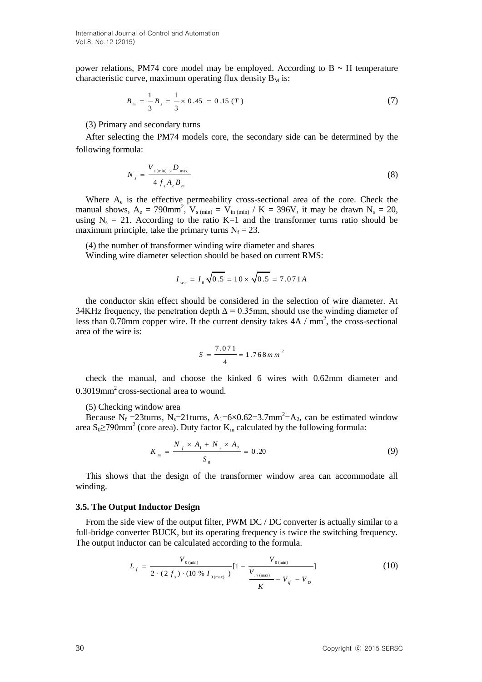power relations, PM74 core model may be employed. According to  $B \sim H$  temperature characteristic curve, maximum operating flux density  $B_M$  is:

$$
B_m = \frac{1}{3} B_s = \frac{1}{3} \times 0.45 = 0.15 (T)
$$
 (7)

(3) Primary and secondary turns

After selecting the PM74 models core, the secondary side can be determined by the following formula:

$$
N_{s} = \frac{V_{s(\text{min})} \times D_{\text{max}}}{4 f_{s} A_{e} B_{m}}
$$
\n(8)

Where  $A_e$  is the effective permeability cross-sectional area of the core. Check the manual shows,  $A_e = 790$ mm<sup>2</sup>,  $V_{s (min)} = V_{in (min)} / K = 396V$ , it may be drawn  $N_s = 20$ , using  $N_s = 21$ . According to the ratio K=1 and the transformer turns ratio should be maximum principle, take the primary turns  $N_f = 23$ .

(4) the number of transformer winding wire diameter and shares Winding wire diameter selection should be based on current RMS:

$$
I_{\text{sec}} = I_0 \sqrt{0.5} = 10 \times \sqrt{0.5} = 7.071 A
$$

the conductor skin effect should be considered in the selection of wire diameter. At 34KHz frequency, the penetration depth  $\Delta = 0.35$ mm, should use the winding diameter of less than  $0.70$ mm copper wire. If the current density takes  $4A / mm^2$ , the cross-sectional area of the wire is:

$$
S = \frac{7.071}{4} = 1.768 \, \text{m m}^2
$$

check the manual, and choose the kinked 6 wires with 0.62mm diameter and 0.3019mm<sup>2</sup> cross-sectional area to wound.

#### (5) Checking window area

Because N<sub>f</sub> = 23turns, N<sub>s</sub>=21turns, A<sub>1</sub>=6×0.62=3.7mm<sup>2</sup>=A<sub>2</sub>, can be estimated window area S<sub>0</sub>≥790mm<sup>2</sup> (core area). Duty factor K<sub>m</sub> calculated by the following formula:

$$
K_m = \frac{N_f \times A_1 + N_s \times A_2}{S_0} = 0.20
$$
 (9)

This shows that the design of the transformer window area can accommodate all winding.

#### **3.5. The Output Inductor Design**

From the side view of the output filter, PWM DC / DC converter is actually similar to a full-bridge converter BUCK, but its operating frequency is twice the switching frequency. The output inductor can be calculated according to the formula.

$$
L_{f} = \frac{V_{0(\text{min})}}{2 \cdot (2 f_{s}) \cdot (10 \text{ % } I_{0(\text{max})})} [1 - \frac{V_{0(\text{min})}}{V_{\frac{in(\text{max})}{K}} - V_{f} - V_{D}]}
$$
(10)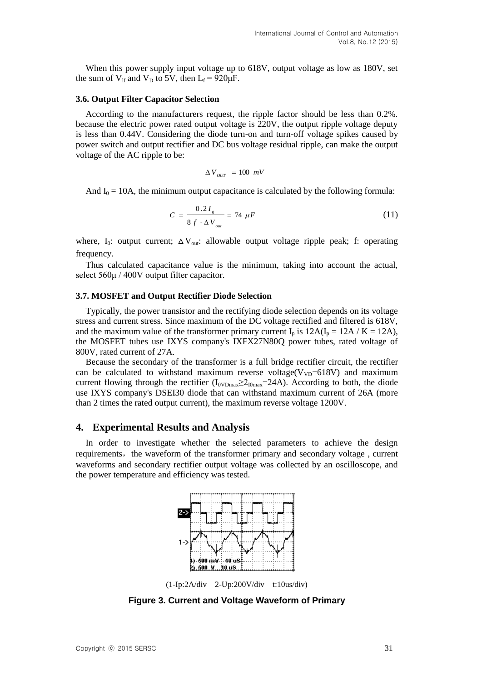When this power supply input voltage up to 618V, output voltage as low as 180V, set the sum of  $V_{\text{lf}}$  and  $V_{\text{D}}$  to 5V, then  $L_{\text{f}} = 920 \mu\text{F}$ .

#### **3.6. Output Filter Capacitor Selection**

According to the manufacturers request, the ripple factor should be less than 0.2%. because the electric power rated output voltage is 220V, the output ripple voltage deputy is less than 0.44V. Considering the diode turn-on and turn-off voltage spikes caused by power switch and output rectifier and DC bus voltage residual ripple, can make the output voltage of the AC ripple to be:

$$
\Delta V_{OUT} = 100 \ mV
$$

And  $I_0 = 10A$ , the minimum output capacitance is calculated by the following formula:

$$
C = \frac{0.2 I_0}{8 f \cdot \Delta V_{out}} = 74 \ \mu F \tag{11}
$$

where,  $I_0$ : output current;  $\Delta V_{out}$ : allowable output voltage ripple peak; f: operating frequency.

Thus calculated capacitance value is the minimum, taking into account the actual, select 560μ / 400V output filter capacitor.

#### **3.7. MOSFET and Output Rectifier Diode Selection**

Typically, the power transistor and the rectifying diode selection depends on its voltage stress and current stress. Since maximum of the DC voltage rectified and filtered is 618V, and the maximum value of the transformer primary current  $I_p$  is  $12A(I_p = 12A / K = 12A)$ , the MOSFET tubes use IXYS company's IXFX27N80Q power tubes, rated voltage of 800V, rated current of 27A.

Because the secondary of the transformer is a full bridge rectifier circuit, the rectifier can be calculated to withstand maximum reverse voltage( $V_{VD}=618V$ ) and maximum current flowing through the rectifier  $(I_{\text{ovDmax}} \geq 2_{\text{I0max}} = 24A)$ . According to both, the diode use IXYS company's DSEI30 diode that can withstand maximum current of 26A (more than 2 times the rated output current), the maximum reverse voltage 1200V.

### **4. Experimental Results and Analysis**

In order to investigate whether the selected parameters to achieve the design requirements, the waveform of the transformer primary and secondary voltage, current waveforms and secondary rectifier output voltage was collected by an oscilloscope, and the power temperature and efficiency was tested.



(1-Ip:2A/div 2-Up:200V/div t:10us/div)

**Figure 3. Current and Voltage Waveform of Primary**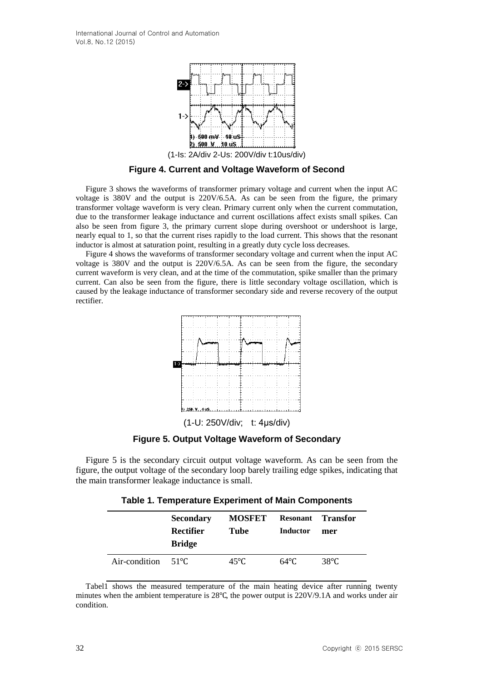

**Figure 4. Current and Voltage Waveform of Second**

Figure 3 shows the waveforms of transformer primary voltage and current when the input AC voltage is 380V and the output is 220V/6.5A. As can be seen from the figure, the primary transformer voltage waveform is very clean. Primary current only when the current commutation, due to the transformer leakage inductance and current oscillations affect exists small spikes. Can also be seen from figure 3, the primary current slope during overshoot or undershoot is large, nearly equal to 1, so that the current rises rapidly to the load current. This shows that the resonant inductor is almost at saturation point, resulting in a greatly duty cycle loss decreases.

Figure 4 shows the waveforms of transformer secondary voltage and current when the input AC voltage is 380V and the output is 220V/6.5A. As can be seen from the figure, the secondary current waveform is very clean, and at the time of the commutation, spike smaller than the primary current. Can also be seen from the figure, there is little secondary voltage oscillation, which is caused by the leakage inductance of transformer secondary side and reverse recovery of the output rectifier.



**Figure 5. Output Voltage Waveform of Secondary**

Figure 5 is the secondary circuit output voltage waveform. As can be seen from the figure, the output voltage of the secondary loop barely trailing edge spikes, indicating that the main transformer leakage inductance is small.

**Table 1. Temperature Experiment of Main Components**

|                              | <b>Secondary</b><br>Rectifier<br><b>Bridge</b> | <b>MOSFET</b><br>Tube | Resonant<br><b>Inductor</b> | <b>Transfor</b><br>mer |
|------------------------------|------------------------------------------------|-----------------------|-----------------------------|------------------------|
| Air-condition $51^{\circ}$ C |                                                | 45°C.                 | $64^{\circ}$ C              | 38°C                   |

Tabel1 shows the measured temperature of the main heating device after running twenty minutes when the ambient temperature is 28℃, the power output is 220V/9.1A and works under air condition.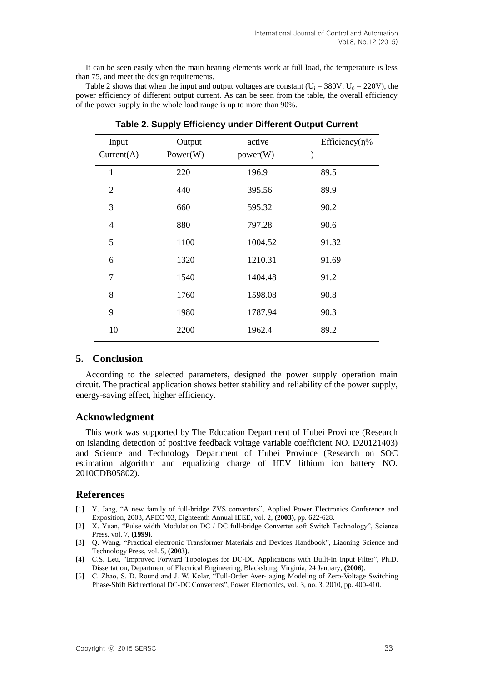It can be seen easily when the main heating elements work at full load, the temperature is less than 75, and meet the design requirements.

Table 2 shows that when the input and output voltages are constant (U<sub>i</sub> = 380V, U<sub>0</sub> = 220V), the power efficiency of different output current. As can be seen from the table, the overall efficiency of the power supply in the whole load range is up to more than 90%.

| Input<br>Current(A) | Output<br>Power(W) | active<br>power(W) | Efficiency $(\eta\%$<br>$\mathcal{E}$ |
|---------------------|--------------------|--------------------|---------------------------------------|
| $\mathbf{1}$        | 220                | 196.9              | 89.5                                  |
| $\overline{2}$      | 440                | 395.56             | 89.9                                  |
| 3                   | 660                | 595.32             | 90.2                                  |
| $\overline{4}$      | 880                | 797.28             | 90.6                                  |
| 5                   | 1100               | 1004.52            | 91.32                                 |
| 6                   | 1320               | 1210.31            | 91.69                                 |
| 7                   | 1540               | 1404.48            | 91.2                                  |
| 8                   | 1760               | 1598.08            | 90.8                                  |
| 9                   | 1980               | 1787.94            | 90.3                                  |
| 10                  | 2200               | 1962.4             | 89.2                                  |

**Table 2. Supply Efficiency under Different Output Current**

### **5. Conclusion**

According to the selected parameters, designed the power supply operation main circuit. The practical application shows better stability and reliability of the power supply, energy-saving effect, higher efficiency.

### **Acknowledgment**

This work was supported by The Education Department of Hubei Province (Research on islanding detection of positive feedback voltage variable coefficient NO. D20121403) and Science and Technology Department of Hubei Province (Research on SOC estimation algorithm and equalizing charge of HEV lithium ion battery NO. 2010CDB05802).

### **References**

- [1] Y. Jang, "A new family of full-bridge ZVS converters", Applied Power Electronics Conference and Exposition, 2003, APEC '03, Eighteenth Annual IEEE, vol. 2, **(2003)**, pp. 622-628.
- [2] X. Yuan, "Pulse width Modulation DC / DC full-bridge Converter soft Switch Technology", Science Press, vol. 7, **(1999)**.
- [3] Q. Wang, "Practical electronic Transformer Materials and Devices Handbook", Liaoning Science and Technology Press, vol. 5, **(2003)**.
- [4] C.S. Leu, "Improved Forward Topologies for DC-DC Applications with Built-In Input Filter", Ph.D. Dissertation, Department of Electrical Engineering, Blacksburg, Virginia, 24 January, **(2006)**.
- [5] C. Zhao, S. D. Round and J. W. Kolar, "Full-Order Aver- aging Modeling of Zero-Voltage Switching Phase-Shift Bidirectional DC-DC Converters", Power Electronics, vol. 3, no. 3, 2010, pp. 400-410.